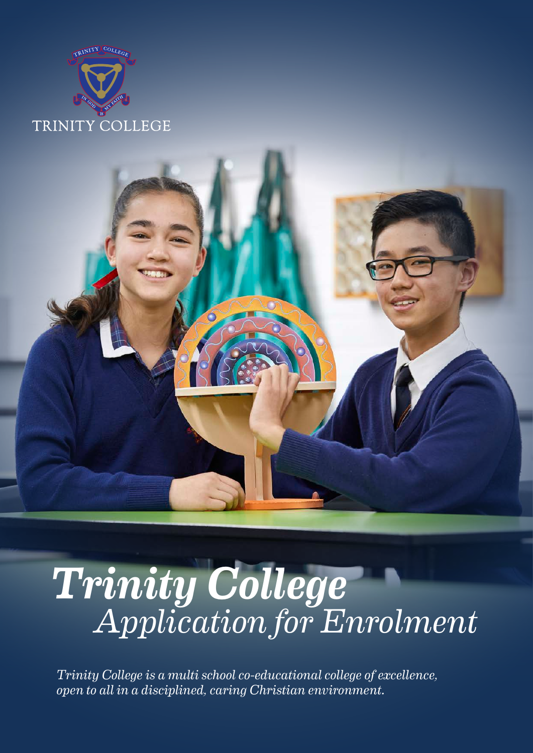



# *Trinity College Application for Enrolment*

*Trinity College is a multi school co-educational college of excellence, open to all in a disciplined, caring Christian environment.*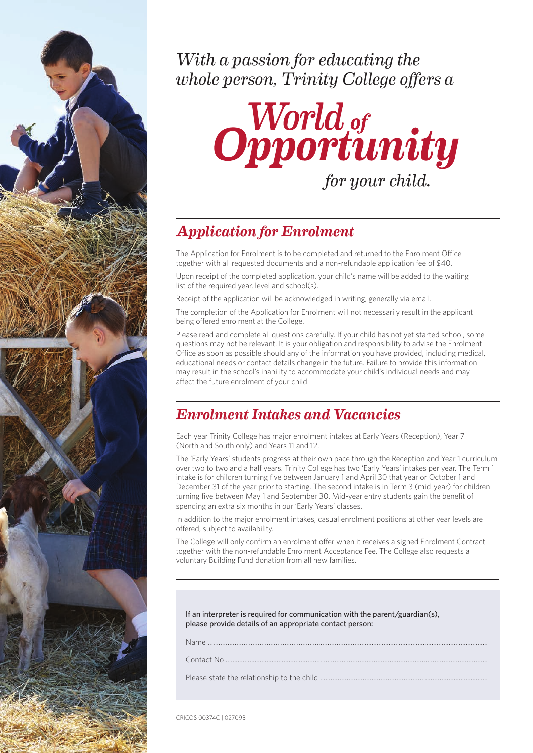

*With a passion for educating the whole person, Trinity College offers a* 



# *Application for Enrolment*

The Application for Enrolment is to be completed and returned to the Enrolment Office together with all requested documents and a non-refundable application fee of \$40.

Upon receipt of the completed application, your child's name will be added to the waiting list of the required year, level and school(s).

Receipt of the application will be acknowledged in writing, generally via email.

The completion of the Application for Enrolment will not necessarily result in the applicant being offered enrolment at the College.

Please read and complete all questions carefully. If your child has not yet started school, some questions may not be relevant. It is your obligation and responsibility to advise the Enrolment Office as soon as possible should any of the information you have provided, including medical, educational needs or contact details change in the future. Failure to provide this information may result in the school's inability to accommodate your child's individual needs and may affect the future enrolment of your child.

# *Enrolment Intakes and Vacancies*

Each year Trinity College has major enrolment intakes at Early Years (Reception), Year 7 (North and South only) and Years 11 and 12.

The 'Early Years' students progress at their own pace through the Reception and Year 1 curriculum over two to two and a half years. Trinity College has two 'Early Years' intakes per year. The Term 1 intake is for children turning five between January 1 and April 30 that year or October 1 and December 31 of the year prior to starting. The second intake is in Term 3 (mid-year) for children turning five between May 1 and September 30. Mid-year entry students gain the benefit of spending an extra six months in our 'Early Years' classes.

In addition to the major enrolment intakes, casual enrolment positions at other year levels are offered, subject to availability.

The College will only confirm an enrolment offer when it receives a signed Enrolment Contract together with the non-refundable Enrolment Acceptance Fee. The College also requests a voluntary Building Fund donation from all new families.

If an interpreter is required for communication with the parent/guardian(s), please provide details of an appropriate contact person:

Name ………….………………………………………………………………...........................................................................

Contact No ...............................................………….………………………….………………….……………………………...

Please state the relationship to the child ......……………………………………….…………………......................

CRICOS 00374C | 02709B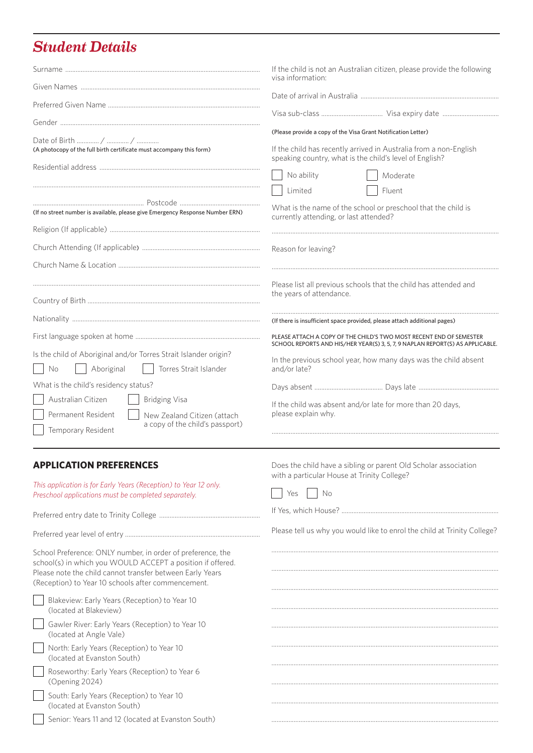# *Student Details*

|                                                                                                                       | If the child is not an Australian citizen, please provide the following<br>visa information:                                                                                                  |  |  |  |
|-----------------------------------------------------------------------------------------------------------------------|-----------------------------------------------------------------------------------------------------------------------------------------------------------------------------------------------|--|--|--|
|                                                                                                                       |                                                                                                                                                                                               |  |  |  |
|                                                                                                                       |                                                                                                                                                                                               |  |  |  |
|                                                                                                                       |                                                                                                                                                                                               |  |  |  |
| (A photocopy of the full birth certificate must accompany this form)                                                  | (Please provide a copy of the Visa Grant Notification Letter)<br>If the child has recently arrived in Australia from a non-English<br>speaking country, what is the child's level of English? |  |  |  |
|                                                                                                                       | No ability<br>Moderate                                                                                                                                                                        |  |  |  |
|                                                                                                                       | Limited<br>Fluent                                                                                                                                                                             |  |  |  |
| (If no street number is available, please give Emergency Response Number ERN)                                         | What is the name of the school or preschool that the child is<br>currently attending, or last attended?                                                                                       |  |  |  |
|                                                                                                                       |                                                                                                                                                                                               |  |  |  |
|                                                                                                                       | Reason for leaving?                                                                                                                                                                           |  |  |  |
|                                                                                                                       |                                                                                                                                                                                               |  |  |  |
|                                                                                                                       | Please list all previous schools that the child has attended and                                                                                                                              |  |  |  |
|                                                                                                                       | the years of attendance.                                                                                                                                                                      |  |  |  |
|                                                                                                                       | (If there is insufficient space provided, please attach additional pages)                                                                                                                     |  |  |  |
|                                                                                                                       | PLEASE ATTACH A COPY OF THE CHILD'S TWO MOST RECENT END OF SEMESTER<br>SCHOOL REPORTS AND HIS/HER YEAR(S) 3, 5, 7, 9 NAPLAN REPORT(S) AS APPLICABLE.                                          |  |  |  |
| Is the child of Aboriginal and/or Torres Strait Islander origin?<br>Torres Strait Islander<br><b>No</b><br>Aboriginal | In the previous school year, how many days was the child absent<br>and/or late?                                                                                                               |  |  |  |
| What is the child's residency status?                                                                                 |                                                                                                                                                                                               |  |  |  |
| Australian Citizen<br><b>Bridging Visa</b>                                                                            | If the child was absent and/or late for more than 20 days,                                                                                                                                    |  |  |  |
| Permanent Resident<br>New Zealand Citizen (attach<br>a copy of the child's passport)                                  | please explain why.                                                                                                                                                                           |  |  |  |
| Temporary Resident                                                                                                    |                                                                                                                                                                                               |  |  |  |

## **APPLICATION PREFERENCES**

|                                                                                                                           | with a particular House at Trinity College?                              |
|---------------------------------------------------------------------------------------------------------------------------|--------------------------------------------------------------------------|
| This application is for Early Years (Reception) to Year 12 only.<br>Preschool applications must be completed separately.  | Nο<br>Yes                                                                |
|                                                                                                                           |                                                                          |
|                                                                                                                           | Please tell us why you would like to enrol the child at Trinity College? |
| School Preference: ONLY number, in order of preference, the<br>school(s) in which you WOULD ACCEPT a position if offered. |                                                                          |
| Please note the child cannot transfer between Early Years<br>(Reception) to Year 10 schools after commencement.           |                                                                          |
|                                                                                                                           |                                                                          |
| Blakeview: Early Years (Reception) to Year 10<br>(located at Blakeview)                                                   |                                                                          |
| Gawler River: Early Years (Reception) to Year 10<br>(located at Angle Vale)                                               |                                                                          |
| North: Early Years (Reception) to Year 10<br>(located at Evanston South)                                                  |                                                                          |
| Roseworthy: Early Years (Reception) to Year 6                                                                             |                                                                          |
| (Opening 2024)                                                                                                            |                                                                          |
| South: Early Years (Reception) to Year 10<br>(located at Evanston South)                                                  |                                                                          |
| Senior: Years 11 and 12 (located at Evanston South)                                                                       |                                                                          |

Does the child have a sibling or parent Old Scholar association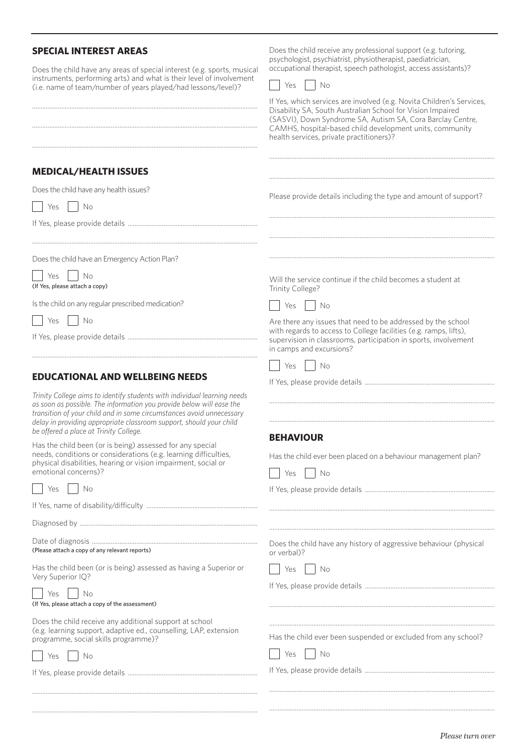#### **SPECIAL INTEREST AREAS** Does the child have any areas of special interest (e.g. sports, musical instruments, performing arts) and what is their level of involvement (i.e. name of team/number of years played/had lessons/level)? .................................................................................................................................... .................................................................................................................................... .................................................................................................................................... **MEDICAL/HEALTH ISSUES** Does the child have any health issues?  $Yes \mid No$ If Yes, please provide details ............................................................................ Does the child have an Emergency Action Plan? Yes No (If Yes, please attach a copy) Is the child on any regular prescribed medication?  $Yes$   $|$   $No$ If Yes, please provide details ............................................................................ **EDUCATIONAL AND WELLBEING NEEDS**  *Trinity College aims to identify students with individual learning needs as soon as possible. The information you provide below will ease the transition of your child and in some circumstances avoid unnecessary delay in providing appropriate classroom support, should your child be offered a place at Trinity College.* Has the child been (or is being) assessed for any special needs, conditions or considerations (e.g. learning difficulties, physical disabilities, hearing or vision impairment, social or emotional concerns)?  $Yes$  |  $No$ If Yes, name of disability/difficulty ................................................................. Diagnosed by ........................................................................................................ Date of diagnosis ................................................................................................. (Please attach a copy of any relevant reports) Has the child been (or is being) assessed as having a Superior or Very Superior IQ?  $Yes$  No (If Yes, please attach a copy of the assessment) Does the child receive any additional support at school (e.g. learning support, adaptive ed., counselling, LAP, extension Does the child receive any professional support (e.g. tutoring, psychologist, psychiatrist, physiotherapist, paediatrician, occupational therapist, speech pathologist, access assistants)?  $Yes \mid No$ If Yes, which services are involved (e.g. Novita Children's Services, Disability SA, South Australian School for Vision Impaired (SASVI), Down Syndrome SA, Autism SA, Cora Barclay Centre, CAMHS, hospital-based child development units, community health services, private practitioners)? .................................................................................................................................... .................................................................................................................................... Please provide details including the type and amount of support? .................................................................................................................................... .................................................................................................................................... .................................................................................................................................... Will the service continue if the child becomes a student at Trinity College?  $Yes \mid \mid No$ Are there any issues that need to be addressed by the school with regards to access to College facilities (e.g. ramps, lifts), supervision in classrooms, participation in sports, involvement in camps and excursions?  $Yes \mid \mid No$ If Yes, please provide details ............................................................................ .................................................................................................................................... .................................................................................................................................... **BEHAVIOUR** Has the child ever been placed on a behaviour management plan?  $\vert$  Yes  $\vert$  No If Yes, please provide details ............................................................................ .................................................................................................................................... Does the child have any history of aggressive behaviour (physical or verbal)? | Yes | | No If Yes, please provide details ............................................................................ .................................................................................................................................... .................................................................................................................................... Has the child ever been suspended or excluded from any school?

 $\vert$  Yes  $\vert$  No

If Yes, please provide details ............................................................................

....................................................................................................................................

....................................................................................................................................

programme, social skills programme)?

....................................................................................................................................

....................................................................................................................................

| $\sim$<br>$\sim$ | $\sim$ |
|------------------|--------|
|                  |        |

If Yes, please provide details ............................................................................

*Please turn over*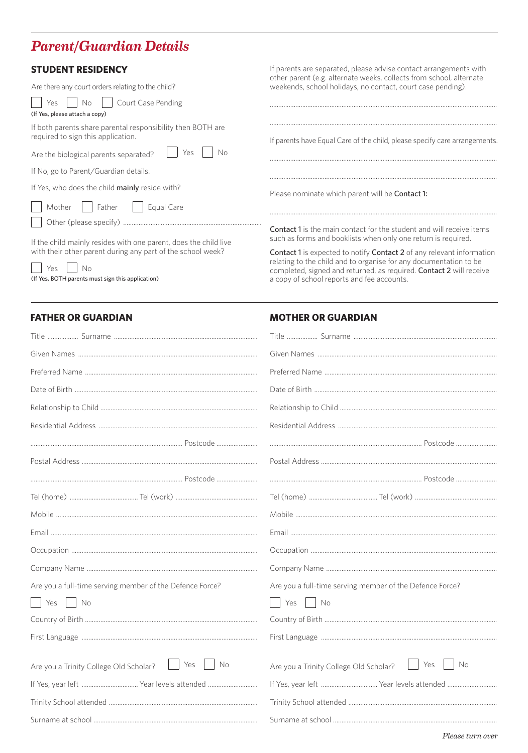## **Parent/Guardian Details**

## **STUDENT RESIDENCY**

| Are there any court orders relating to the child?                                                 | weekends, school holidays, no contact, court case pending).                                                                                 |  |  |
|---------------------------------------------------------------------------------------------------|---------------------------------------------------------------------------------------------------------------------------------------------|--|--|
| Court Case Pending<br>Yes.<br>Nο<br>(If Yes, please attach a copy)                                |                                                                                                                                             |  |  |
| If both parents share parental responsibility then BOTH are<br>required to sign this application. | If parents have Equal Care of the child, please specify care arrangement                                                                    |  |  |
| Yes<br>Nη<br>Are the biological parents separated?                                                |                                                                                                                                             |  |  |
| If No, go to Parent/Guardian details.                                                             |                                                                                                                                             |  |  |
| If Yes, who does the child <b>mainly</b> reside with?                                             | Please nominate which parent will be <b>Contact 1:</b>                                                                                      |  |  |
| Mother<br>Father<br>Equal Care                                                                    |                                                                                                                                             |  |  |
|                                                                                                   |                                                                                                                                             |  |  |
| If the child mainly resides with one parent, does the child live                                  | <b>Contact 1</b> is the main contact for the student and will receive iten<br>such as forms and booklists when only one return is required. |  |  |
| with their other parent during any part of the school week?                                       | Contact 1 is expected to notify Contact 2 of any relevant informat                                                                          |  |  |

 $Yes$  $N<sub>0</sub>$ (If Yes, BOTH parents must sign this application) If parents are separated, please advise contact arrangements with other parent (e.g. alternate weeks, collects from school, alternate Indidays, no contact, court case pending).

jual Care of the child, please specify care arrangements.

Contact 1 is expected to notify Contact 2 of any relevant information relating to the child and to organise for any documentation to be completed, signed and returned, as required. Contact 2 will receive a copy of school reports and fee accounts.

### **FATHER OR GUARDIAN**

#### **MOTHER OR GUARDIAN**

| Are you a full-time serving member of the Defence Force?              | Are you a full-time serving member of the Defence Force?   |
|-----------------------------------------------------------------------|------------------------------------------------------------|
| $\vert$ $\vert$ No<br>Yes                                             | No<br>Yes                                                  |
|                                                                       |                                                            |
|                                                                       |                                                            |
| Yes<br>No<br>$\mathbb{R}^n$<br>Are you a Trinity College Old Scholar? | Yes<br><b>No</b><br>Are you a Trinity College Old Scholar? |
|                                                                       |                                                            |
|                                                                       |                                                            |
|                                                                       |                                                            |
|                                                                       |                                                            |